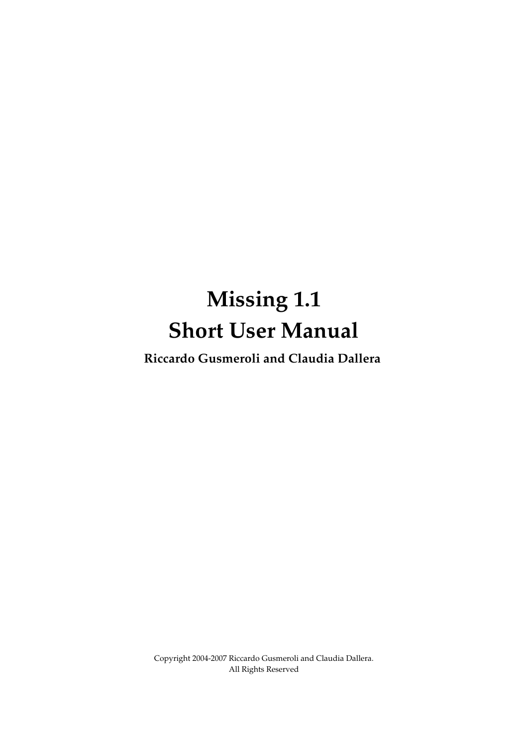# **Missing 1.1 Short User Manual**

**Riccardo Gusmeroli and Claudia Dallera**

Copyright 2004-2007 Riccardo Gusmeroli and Claudia Dallera. All Rights Reserved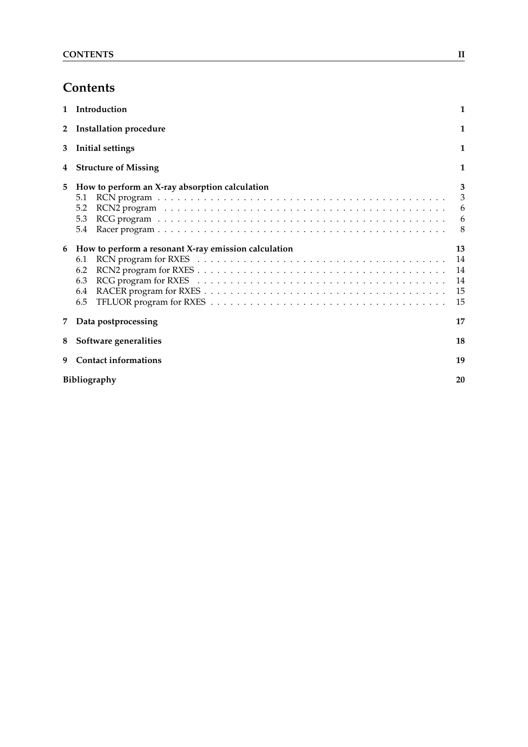# **Contents**

| $\mathbf{1}$   | Introduction                                                                            | $\mathbf{1}$                        |
|----------------|-----------------------------------------------------------------------------------------|-------------------------------------|
| $\overline{2}$ | Installation procedure                                                                  | 1                                   |
| 3              | <b>Initial settings</b>                                                                 | $\mathbf{1}$                        |
| 4              | <b>Structure of Missing</b>                                                             | 1                                   |
| 5              | How to perform an X-ray absorption calculation<br>5.1<br>5.2<br>5.3<br>5.4              | 3<br>$\mathfrak{Z}$<br>6<br>6<br>-8 |
| 6              | How to perform a resonant X-ray emission calculation<br>6.1<br>6.2<br>6.3<br>6.4<br>6.5 | 13<br>14<br>14<br>14<br>15<br>15    |
| 7              | Data postprocessing                                                                     | 17                                  |
| 8              | Software generalities                                                                   | 18                                  |
| 9              | <b>Contact informations</b>                                                             | 19                                  |
|                | <b>Bibliography</b>                                                                     | 20                                  |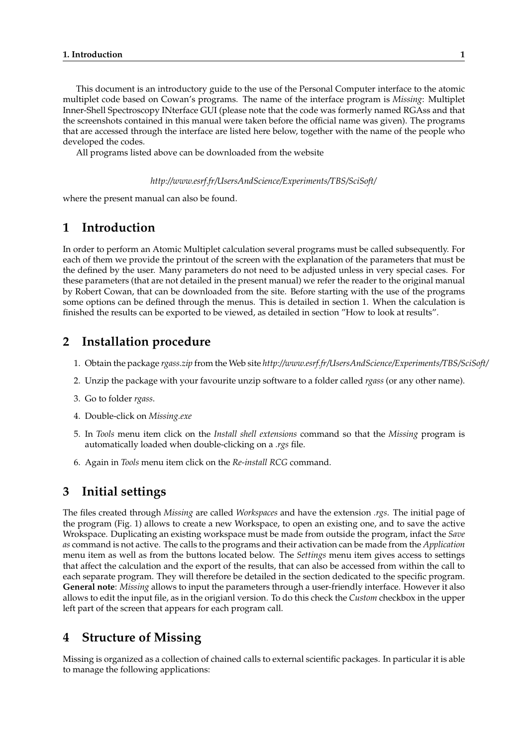This document is an introductory guide to the use of the Personal Computer interface to the atomic multiplet code based on Cowan's programs. The name of the interface program is *Missing*: Multiplet Inner-Shell Spectroscopy INterface GUI (please note that the code was formerly named RGAss and that the screenshots contained in this manual were taken before the official name was given). The programs that are accessed through the interface are listed here below, together with the name of the people who developed the codes.

All programs listed above can be downloaded from the website

*http://www.esrf.fr/UsersAndScience/Experiments/TBS/SciSoft/*

where the present manual can also be found.

## **1 Introduction**

In order to perform an Atomic Multiplet calculation several programs must be called subsequently. For each of them we provide the printout of the screen with the explanation of the parameters that must be the defined by the user. Many parameters do not need to be adjusted unless in very special cases. For these parameters (that are not detailed in the present manual) we refer the reader to the original manual by Robert Cowan, that can be downloaded from the site. Before starting with the use of the programs some options can be defined through the menus. This is detailed in section 1. When the calculation is finished the results can be exported to be viewed, as detailed in section "How to look at results".

## **2 Installation procedure**

- 1. Obtain the package *rgass.zip* from the Web site *http://www.esrf.fr/UsersAndScience/Experiments/TBS/SciSoft/*
- 2. Unzip the package with your favourite unzip software to a folder called *rgass* (or any other name).
- 3. Go to folder *rgass*.
- 4. Double-click on *Missing.exe*
- 5. In *Tools* menu item click on the *Install shell extensions* command so that the *Missing* program is automatically loaded when double-clicking on a *.rgs* file.
- 6. Again in *Tools* menu item click on the *Re-install RCG* command.

## **3 Initial settings**

The files created through *Missing* are called *Workspaces* and have the extension *.rgs*. The initial page of the program (Fig. 1) allows to create a new Workspace, to open an existing one, and to save the active Wrokspace. Duplicating an existing workspace must be made from outside the program, infact the *Save as* command is not active. The calls to the programs and their activation can be made from the *Application* menu item as well as from the buttons located below. The *Settings* menu item gives access to settings that affect the calculation and the export of the results, that can also be accessed from within the call to each separate program. They will therefore be detailed in the section dedicated to the specific program. **General note**: *Missing* allows to input the parameters through a user-friendly interface. However it also allows to edit the input file, as in the origianl version. To do this check the *Custom* checkbox in the upper left part of the screen that appears for each program call.

## **4 Structure of Missing**

Missing is organized as a collection of chained calls to external scientific packages. In particular it is able to manage the following applications: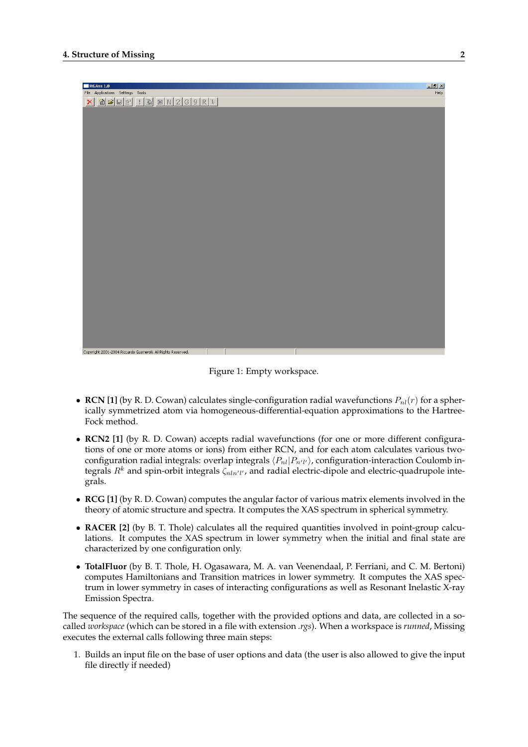

Figure 1: Empty workspace.

- **RCN** [1] (by R. D. Cowan) calculates single-configuration radial wavefunctions  $P_{nl}(r)$  for a spherically symmetrized atom via homogeneous-differential-equation approximations to the Hartree-Fock method.
- **RCN2 [1]** (by R. D. Cowan) accepts radial wavefunctions (for one or more different configurations of one or more atoms or ions) from either RCN, and for each atom calculates various twoconfiguration radial integrals: overlap integrals  $\langle P_{nl}|P_{n'l'}\rangle$ , configuration-interaction Coulomb integrals  $R^k$  and spin-orbit integrals  $\zeta_{nln'l'}$ , and radial electric-dipole and electric-quadrupole integrals.
- **RCG [1]** (by R. D. Cowan) computes the angular factor of various matrix elements involved in the theory of atomic structure and spectra. It computes the XAS spectrum in spherical symmetry.
- **RACER** [2] (by B. T. Thole) calculates all the required quantities involved in point-group calculations. It computes the XAS spectrum in lower symmetry when the initial and final state are characterized by one configuration only.
- **TotalFluor** (by B. T. Thole, H. Ogasawara, M. A. van Veenendaal, P. Ferriani, and C. M. Bertoni) computes Hamiltonians and Transition matrices in lower symmetry. It computes the XAS spectrum in lower symmetry in cases of interacting configurations as well as Resonant Inelastic X-ray Emission Spectra.

The sequence of the required calls, together with the provided options and data, are collected in a socalled *workspace* (which can be stored in a file with extension *.rgs*). When a workspace is *runned*, Missing executes the external calls following three main steps:

1. Builds an input file on the base of user options and data (the user is also allowed to give the input file directly if needed)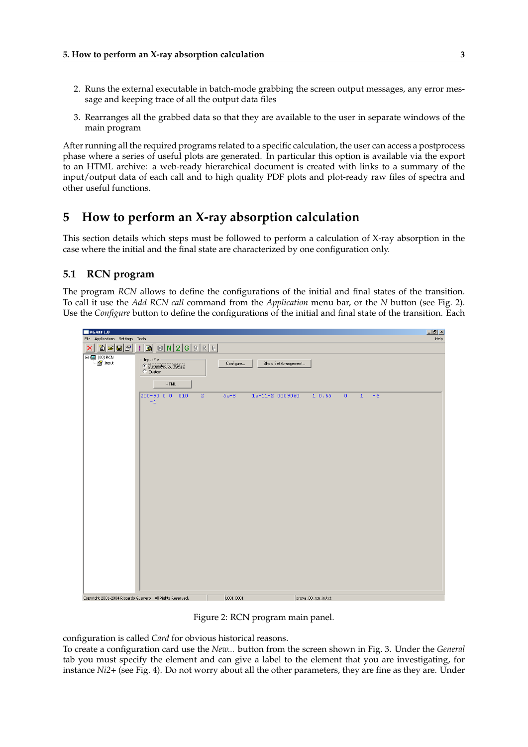- 2. Runs the external executable in batch-mode grabbing the screen output messages, any error message and keeping trace of all the output data files
- 3. Rearranges all the grabbed data so that they are available to the user in separate windows of the main program

After running all the required programs related to a specific calculation, the user can access a postprocess phase where a series of useful plots are generated. In particular this option is available via the export to an HTML archive: a web-ready hierarchical document is created with links to a summary of the input/output data of each call and to high quality PDF plots and plot-ready raw files of spectra and other useful functions.

## **5 How to perform an X-ray absorption calculation**

This section details which steps must be followed to perform a calculation of X-ray absorption in the case where the initial and the final state are characterized by one configuration only.

#### **5.1 RCN program**

The program *RCN* allows to define the configurations of the initial and final states of the transition. To call it use the *Add RCN call* command from the *Application* menu bar, or the *N* button (see Fig. 2). Use the *Configure* button to define the configurations of the initial and final state of the transition. Each

| RGAss 1.0                                                                         |                                                                 |                                   | $-17 \times$                 |
|-----------------------------------------------------------------------------------|-----------------------------------------------------------------|-----------------------------------|------------------------------|
| File Applications Settings Tools                                                  |                                                                 |                                   | Help                         |
| $ \hat{\mathbf{c}} \mathbf{c} \mathbf{c} $<br>$\boldsymbol{\times}$               | $:  B  \times  N 2 G 9 R F $                                    |                                   |                              |
| $\begin{tabular}{ c c c } \hline \quad \quad & (00) \,\mathrm{RCN} \end{tabular}$ | $\Gamma$ Input File<br>C Generated by RGAss<br>C Custom<br>HTML | Show Set Arrangement<br>Configure |                              |
|                                                                                   | 200-90 0 0<br>010<br>$\overline{2}$<br>$^{\rm -1}$              | $1e-11-2 0009060$<br>$5e-8$       | $1\;\;0.65$<br>0<<br>$1 - 6$ |
|                                                                                   | Copyright 2001-2004 Riccardo Gusmeroli. All Rights Reserved.    | L001 C001                         | prova_00_rcn_in.txt          |

Figure 2: RCN program main panel.

configuration is called *Card* for obvious historical reasons.

To create a configuration card use the *New...* button from the screen shown in Fig. 3. Under the *General* tab you must specify the element and can give a label to the element that you are investigating, for instance *Ni2+* (see Fig. 4). Do not worry about all the other parameters, they are fine as they are. Under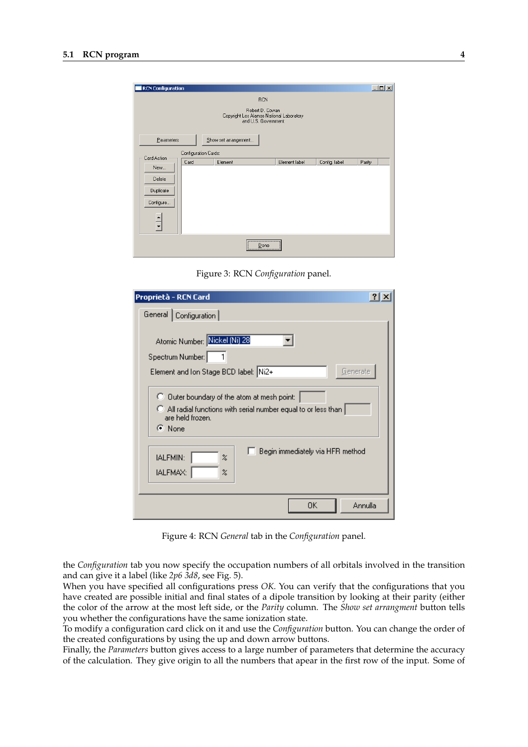

Figure 3: RCN *Configuration* panel.

| Proprietà - RCN Card                                                                                                                               |  |  |  |  |
|----------------------------------------------------------------------------------------------------------------------------------------------------|--|--|--|--|
| General   Configuration                                                                                                                            |  |  |  |  |
| Atomic Number: Nickel (Ni) 28<br>Spectrum Number:<br>Element and Ion Stage BCD label: Ni2+<br>Generate                                             |  |  |  |  |
| C Duter boundary of the atom at mesh point:<br>C All radial functions with serial number equal to or less than<br>are held frozen.<br>$\odot$ None |  |  |  |  |
| Begin immediately via HFR method<br>IALFMIN:<br>$\boldsymbol{\mathsf{z}}$<br>IALFMAX:<br>X                                                         |  |  |  |  |
| Annulla<br>OΚ                                                                                                                                      |  |  |  |  |

Figure 4: RCN *General* tab in the *Configuration* panel.

the *Configuration* tab you now specify the occupation numbers of all orbitals involved in the transition and can give it a label (like *2p6 3d8*, see Fig. 5).

When you have specified all configurations press *OK*. You can verify that the configurations that you have created are possible initial and final states of a dipole transition by looking at their parity (either the color of the arrow at the most left side, or the *Parity* column. The *Show set arrangment* button tells you whether the configurations have the same ionization state.

To modify a configuration card click on it and use the *Configuration* button. You can change the order of the created configurations by using the up and down arrow buttons.

Finally, the *Parameters* button gives access to a large number of parameters that determine the accuracy of the calculation. They give origin to all the numbers that apear in the first row of the input. Some of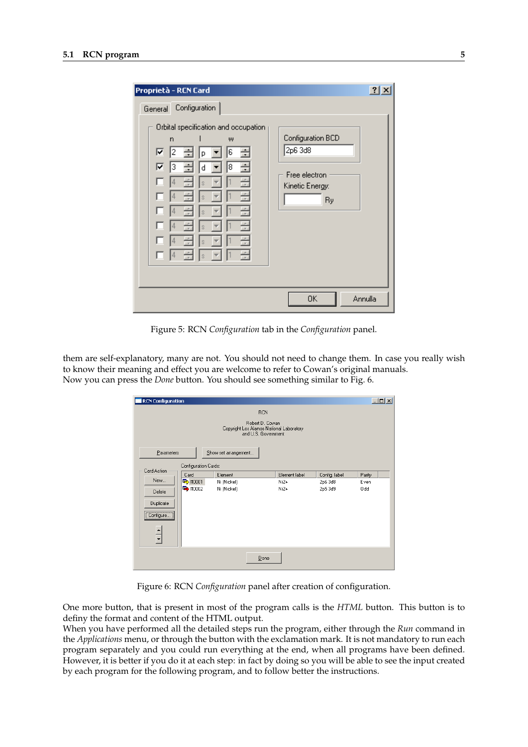| Proprietà - RCN Card                                                                                                                                                                                                                                              | ?                                                                      |
|-------------------------------------------------------------------------------------------------------------------------------------------------------------------------------------------------------------------------------------------------------------------|------------------------------------------------------------------------|
| General Configuration<br>Orbital specification and occupation<br>W<br>n<br>◸<br>÷<br>6<br>2<br>D<br>∓<br>⊽<br>÷<br>3<br>÷<br>8<br>d<br>4<br>Š.<br>4<br>s<br>÷<br>$\frac{1}{\tau}$<br>$\overline{4}$<br>Ś<br>÷<br>4<br>Ś<br>÷<br>4<br>s<br>≂<br>죽<br>÷<br>14<br>Š. | Configuration BCD<br>2p6 3d8<br>Free electron<br>Kinetic Energy:<br>Ry |
|                                                                                                                                                                                                                                                                   | 0K<br>Annulla                                                          |

Figure 5: RCN *Configuration* tab in the *Configuration* panel.

them are self-explanatory, many are not. You should not need to change them. In case you really wish to know their meaning and effect you are welcome to refer to Cowan's original manuals. Now you can press the *Done* button. You should see something similar to Fig. 6.

| $\Box$ D $\times$<br><b>RCN Configuration</b> |                                                                                    |                      |               |               |             |  |  |
|-----------------------------------------------|------------------------------------------------------------------------------------|----------------------|---------------|---------------|-------------|--|--|
| <b>RCN</b>                                    |                                                                                    |                      |               |               |             |  |  |
|                                               | Robert D. Cowan<br>Copyright Los Alamos National Laboratory<br>and U.S. Government |                      |               |               |             |  |  |
| Parameters                                    |                                                                                    | Show set arrangement |               |               |             |  |  |
| Card Action                                   | Configuration Cards:                                                               |                      |               |               |             |  |  |
|                                               | Card                                                                               | Element              | Element label | Config. label | Parity      |  |  |
| New                                           | ■ #0001                                                                            | Ni (Nickel)          | $Ni2+$        | 2p6 3d8       | <b>Even</b> |  |  |
| Delete<br>Duplicate                           | ■ #0002                                                                            | Ni (Nickel)          | $Ni2+$        | 2p5 3d9       | 0dd         |  |  |
| Configure )                                   |                                                                                    |                      |               |               |             |  |  |
|                                               |                                                                                    |                      |               |               |             |  |  |
| Done                                          |                                                                                    |                      |               |               |             |  |  |

Figure 6: RCN *Configuration* panel after creation of configuration.

One more button, that is present in most of the program calls is the *HTML* button. This button is to definy the format and content of the HTML output.

When you have performed all the detailed steps run the program, either through the *Run* command in the *Applications* menu, or through the button with the exclamation mark. It is not mandatory to run each program separately and you could run everything at the end, when all programs have been defined. However, it is better if you do it at each step: in fact by doing so you will be able to see the input created by each program for the following program, and to follow better the instructions.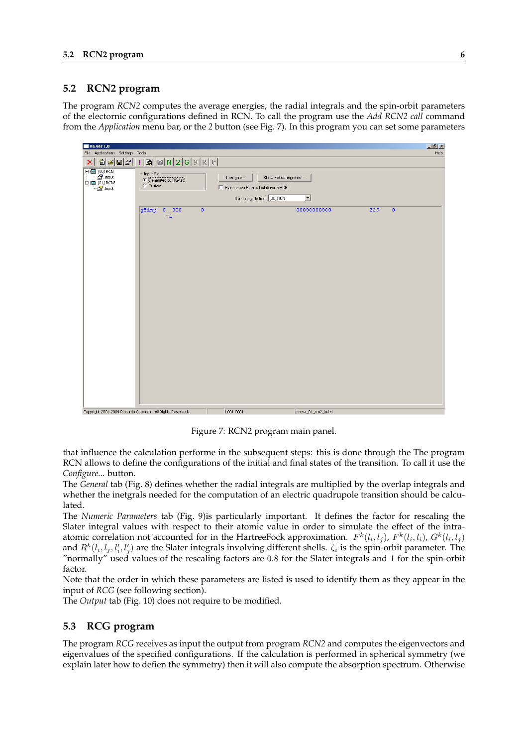#### **5.2 RCN2 program**

The program *RCN2* computes the average energies, the radial integrals and the spin-orbit parameters of the electornic configurations defined in RCN. To call the program use the *Add RCN2 call* command from the *Application* menu bar, or the *2* button (see Fig. 7). In this program you can set some parameters



Figure 7: RCN2 program main panel.

that influence the calculation performe in the subsequent steps: this is done through the The program RCN allows to define the configurations of the initial and final states of the transition. To call it use the *Configure...* button.

The *General* tab (Fig. 8) defines whether the radial integrals are multiplied by the overlap integrals and whether the inetgrals needed for the computation of an electric quadrupole transition should be calculated.

The *Numeric Parameters* tab (Fig. 9)is particularly important. It defines the factor for rescaling the Slater integral values with respect to their atomic value in order to simulate the effect of the intraatomic correlation not accounted for in the HartreeFock approximation.  $F^k(l_i, l_j)$ ,  $F^k(l_i, l_i)$ ,  $G^k(l_i, l_j)$ and  $R^k(l_i, l_j, l'_i, l'_j)$  are the Slater integrals involving different shells.  $\zeta_i$  is the spin-orbit parameter. The "normally" used values of the rescaling factors are 0.8 for the Slater integrals and 1 for the spin-orbit factor.

Note that the order in which these parameters are listed is used to identify them as they appear in the input of *RCG* (see following section).

The *Output* tab (Fig. 10) does not require to be modified.

#### **5.3 RCG program**

The program *RCG* receives as input the output from program *RCN2* and computes the eigenvectors and eigenvalues of the specified configurations. If the calculation is performed in spherical symmetry (we explain later how to defien the symmetry) then it will also compute the absorption spectrum. Otherwise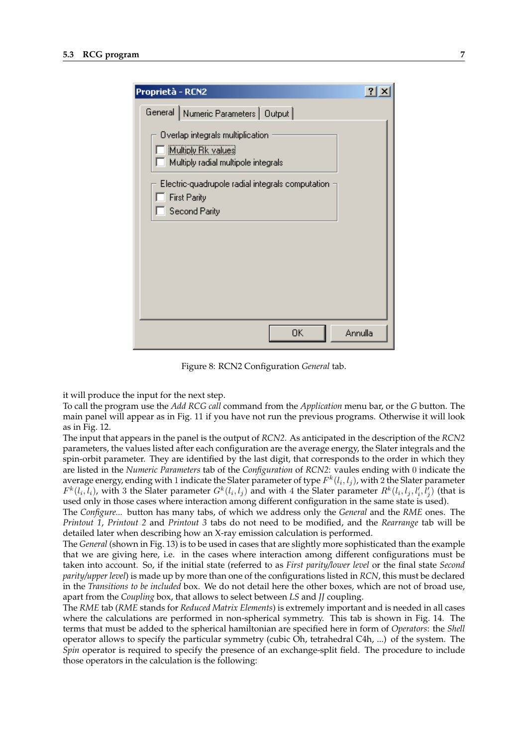| Proprietà - RCN2                                                                              |         |
|-----------------------------------------------------------------------------------------------|---------|
| General   Numeric Parameters   Output                                                         |         |
| Overlap integrals multiplication<br>Multiply Rk values<br>Multiply radial multipole integrals |         |
| Electric-quadrupole radial integrals computation<br><b>First Parity</b><br>Second Parity      |         |
|                                                                                               |         |
|                                                                                               |         |
|                                                                                               |         |
| 0K                                                                                            | Annulla |

Figure 8: RCN2 Configuration *General* tab.

it will produce the input for the next step.

To call the program use the *Add RCG call* command from the *Application* menu bar, or the *G* button. The main panel will appear as in Fig. 11 if you have not run the previous programs. Otherwise it will look as in Fig. 12.

The input that appears in the panel is the output of *RCN2*. As anticipated in the description of the *RCN2* parameters, the values listed after each configuration are the average energy, the Slater integrals and the spin-orbit parameter. They are identified by the last digit, that corresponds to the order in which they are listed in the *Numeric Parameters* tab of the *Configuration* of *RCN2*: vaules ending with 0 indicate the average energy, ending with 1 indicate the Slater parameter of type  $F^k(l_i,l_j)$ , with 2 the Slater parameter  $F^k(l_i,l_i)$ , with 3 the Slater parameter  $G^k(l_i,l_j)$  and with 4 the Slater parameter  $R^k(l_i,l_j,l'_i,l'_j)$  (that is used only in those cases where interaction among different configuration in the same state is used).

The *Configure...* button has many tabs, of which we address only the *General* and the *RME* ones. The *Printout 1*, *Printout 2* and *Printout 3* tabs do not need to be modified, and the *Rearrange* tab will be detailed later when describing how an X-ray emission calculation is performed.

The *General* (shown in Fig. 13) is to be used in cases that are slightly more sophisticated than the example that we are giving here, i.e. in the cases where interaction among different configurations must be taken into account. So, if the initial state (referred to as *First parity/lower level* or the final state *Second parity/upper level*) is made up by more than one of the configurations listed in *RCN*, this must be declared in the *Transitions to be included* box. We do not detail here the other boxes, which are not of broad use, apart from the *Coupling* box, that allows to select between *LS* and *JJ* coupling.

The *RME* tab (*RME* stands for *Reduced Matrix Elements*) is extremely important and is needed in all cases where the calculations are performed in non-spherical symmetry. This tab is shown in Fig. 14. The terms that must be added to the spherical hamiltonian are specified here in form of *Operators*: the *Shell* operator allows to specify the particular symmetry (cubic Oh, tetrahedral C4h, ...) of the system. The *Spin* operator is required to specify the presence of an exchange-split field. The procedure to include those operators in the calculation is the following: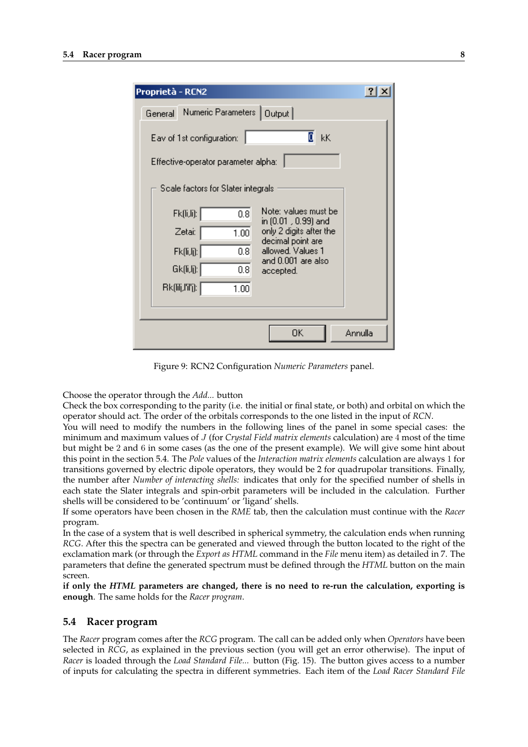| Proprietà - RCN2                                                                                               |         |
|----------------------------------------------------------------------------------------------------------------|---------|
| Numeric Parameters  <br>Output  <br>General                                                                    |         |
| $\overline{\mathbf{E}}$ kK<br>Eav of 1st configuration:<br>Effective-operator parameter alpha:                 |         |
| Scale factors for Slater integrals                                                                             |         |
| Note: values must be<br>Fk(li,li):<br>0.8<br>in (0.01 , 0.99) and<br>only 2 digits after the<br>Zetai:<br>1.00 |         |
| decimal point are<br>allowed. Values 1<br>0.8 <sub>1</sub><br>Fk(l,i ):<br>and 0.001 are also                  |         |
| Gk(li,lj):  <br>0.8<br>accepted.<br>Bk(呵,l'il'j):  <br>1.00                                                    |         |
|                                                                                                                |         |
| ΟK                                                                                                             | Annulla |

Figure 9: RCN2 Configuration *Numeric Parameters* panel.

Choose the operator through the *Add...* button

Check the box corresponding to the parity (i.e. the initial or final state, or both) and orbital on which the operator should act. The order of the orbitals corresponds to the one listed in the input of *RCN*.

You will need to modify the numbers in the following lines of the panel in some special cases: the minimum and maximum values of J (for *Crystal Field matrix elements* calculation) are 4 most of the time but might be 2 and 6 in some cases (as the one of the present example). We will give some hint about this point in the section 5.4. The *Pole* values of the *Interaction matrix elements* calculation are always 1 for transitions governed by electric dipole operators, they would be 2 for quadrupolar transitions. Finally, the number after *Number of interacting shells:* indicates that only for the specified number of shells in each state the Slater integrals and spin-orbit parameters will be included in the calculation. Further shells will be considered to be 'continuum' or 'ligand' shells.

If some operators have been chosen in the *RME* tab, then the calculation must continue with the *Racer* program.

In the case of a system that is well described in spherical symmetry, the calculation ends when running *RCG*. After this the spectra can be generated and viewed through the button located to the right of the exclamation mark (or through the *Export as HTML* command in the *File* menu item) as detailed in 7. The parameters that define the generated spectrum must be defined through the *HTML* button on the main screen.

**if only the** *HTML* **parameters are changed, there is no need to re-run the calculation, exporting is enough**. The same holds for the *Racer program*.

#### **5.4 Racer program**

The *Racer* program comes after the *RCG* program. The call can be added only when *Operators* have been selected in *RCG*, as explained in the previous section (you will get an error otherwise). The input of *Racer* is loaded through the *Load Standard File...* button (Fig. 15). The button gives access to a number of inputs for calculating the spectra in different symmetries. Each item of the *Load Racer Standard File*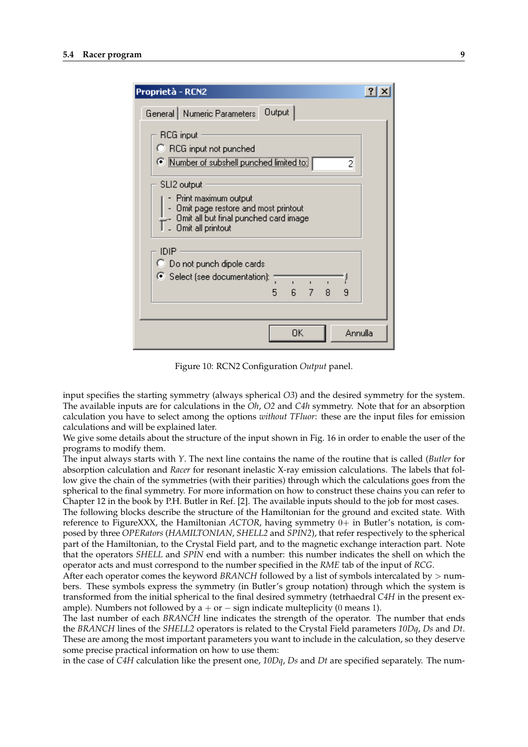| Proprietà - RCN2                                                                                                                            |  |
|---------------------------------------------------------------------------------------------------------------------------------------------|--|
| Output<br>General Numeric Parameters                                                                                                        |  |
| RCG input<br>C RCG input not punched<br>● Number of subshell punched limited to:<br>2                                                       |  |
| SLI2 output<br>Print maximum output<br>Omit page restore and most printout<br>Omit all but final punched card image<br>L. Omit all printout |  |
| IDIP<br>C Do not punch dipole cards<br>○ Select (see documentation):<br>6 <sub>7</sub><br>8<br>9<br>5.                                      |  |
| ΟK<br>Annulla                                                                                                                               |  |

Figure 10: RCN2 Configuration *Output* panel.

input specifies the starting symmetry (always spherical *O3*) and the desired symmetry for the system. The available inputs are for calculations in the *Oh*, *O2* and *C4h* symmetry. Note that for an absorption calculation you have to select among the options *without TFluor*: these are the input files for emission calculations and will be explained later.

We give some details about the structure of the input shown in Fig. 16 in order to enable the user of the programs to modify them.

The input always starts with *Y*. The next line contains the name of the routine that is called (*Butler* for absorption calculation and *Racer* for resonant inelastic X-ray emission calculations. The labels that follow give the chain of the symmetries (with their parities) through which the calculations goes from the spherical to the final symmetry. For more information on how to construct these chains you can refer to Chapter 12 in the book by P.H. Butler in Ref. [2]. The available inputs should to the job for most cases.

The following blocks describe the structure of the Hamiltonian for the ground and excited state. With reference to FigureXXX, the Hamiltonian *ACTOR*, having symmetry 0+ in Butler's notation, is composed by three *OPERators* (*HAMILTONIAN*, *SHELL2* and *SPIN2*), that refer respectively to the spherical part of the Hamiltonian, to the Crystal Field part, and to the magnetic exchange interaction part. Note that the operators *SHELL* and *SPIN* end with a number: this number indicates the shell on which the operator acts and must correspond to the number specified in the *RME* tab of the input of *RCG*.

After each operator comes the keyword *BRANCH* followed by a list of symbols intercalated by  $>$  numbers. These symbols express the symmetry (in Butler's group notation) through which the system is transformed from the initial spherical to the final desired symmetry (tetrhaedral *C4H* in the present example). Numbers not followed by  $a + or - sign$  indicate multeplicity (0 means 1).

The last number of each *BRANCH* line indicates the strength of the operator. The number that ends the *BRANCH* lines of the *SHELL2* operators is related to the Crystal Field parameters *10Dq*, *Ds* and *Dt*. These are among the most important parameters you want to include in the calculation, so they deserve some precise practical information on how to use them:

in the case of *C4H* calculation like the present one, *10Dq*, *Ds* and *Dt* are specified separately. The num-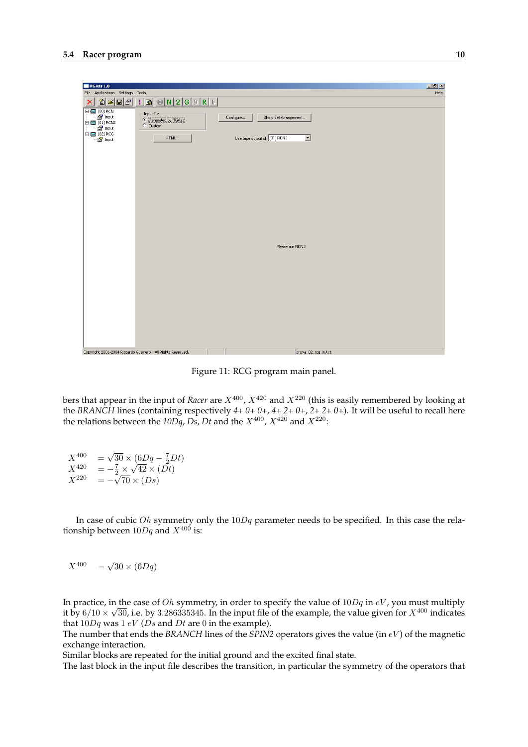| <b>RGAss 1.0</b>                                                                                                                                                |                                   | $\Box$ $\mathbb{P}$ $\times$ |
|-----------------------------------------------------------------------------------------------------------------------------------------------------------------|-----------------------------------|------------------------------|
| File Applications Settings Tools                                                                                                                                |                                   | Help                         |
| $:  B  \times  N 2 G 9 R F $<br>$ \mathbf{\hat{E}} \mathbf{\hat{E}} \mathbf{E} \mathbf{\hat{E}} $<br>$\boldsymbol{\times}$                                      |                                   |                              |
| $\Box$ (00) RCN<br>Input File<br>Eng Input<br><b>C</b> Generated by RGAss<br>$\stackrel{\rightharpoonup}{\Box}$ (01) RCN2<br>C Custom<br><sup>⊟</sup> for Input | Show Set Arrangement<br>Configure |                              |
| $\mathbf{H}$ = $\mathbf{H}$ (02) RCG<br>HTML<br>$\Box$                                                                                                          | Use tape output of (01) RCN2<br>⊡ |                              |
|                                                                                                                                                                 |                                   |                              |
|                                                                                                                                                                 |                                   |                              |
|                                                                                                                                                                 |                                   |                              |
|                                                                                                                                                                 |                                   |                              |
|                                                                                                                                                                 |                                   |                              |
|                                                                                                                                                                 |                                   |                              |
|                                                                                                                                                                 |                                   |                              |
|                                                                                                                                                                 |                                   |                              |
|                                                                                                                                                                 |                                   |                              |
|                                                                                                                                                                 | Please run RCN2                   |                              |
|                                                                                                                                                                 |                                   |                              |
|                                                                                                                                                                 |                                   |                              |
|                                                                                                                                                                 |                                   |                              |
|                                                                                                                                                                 |                                   |                              |
|                                                                                                                                                                 |                                   |                              |
|                                                                                                                                                                 |                                   |                              |
|                                                                                                                                                                 |                                   |                              |
|                                                                                                                                                                 |                                   |                              |
| Copyright 2001-2004 Riccardo Gusmeroli. All Rights Reserved.                                                                                                    | prova_02_rcg_in.txt               |                              |

Figure 11: RCG program main panel.

bers that appear in the input of *Racer* are  $X^{400}$ ,  $X^{420}$  and  $X^{220}$  (this is easily remembered by looking at the *BRANCH* lines (containing respectively *4+ 0+ 0+*, *4+ 2+ 0+*, *2+ 2+ 0+*). It will be useful to recall here the relations between the  $10Dq$ , *Ds*, *Dt* and the  $X^{400}$ ,  $X^{420}$  and  $X^{220}$ .

 $X^{400}$ √  $\overline{30} \times (6Dq - \frac{7}{2}Dt)$ <br>  $\frac{7}{2} \times \sqrt{42} \times (Dt)$  $X^{420}$ √  $\frac{7}{2} \times \sqrt{42} \times (Dt)$  $X^{220}$  $70 \times (Ds)$ 

In case of cubic *Oh* symmetry only the  $10Dq$  parameter needs to be specified. In this case the relationship between  $10Da$  and  $X^{400}$  is:

$$
X^{400} = \sqrt{30} \times (6Dq)
$$

In practice, in the case of *Oh* symmetry, in order to specify the value of  $10Dq$  in  $eV$ , you must multiply it by 6/10  $\times$   $\sqrt{30}$ , i.e. by 3.286335345. In the input file of the example, the value given for  $X^{400}$  indicates that  $10Dq$  was  $1 eV$  (*Ds* and *Dt* are 0 in the example).

The number that ends the *BRANCH* lines of the *SPIN2* operators gives the value (in eV ) of the magnetic exchange interaction.

Similar blocks are repeated for the initial ground and the excited final state.

The last block in the input file describes the transition, in particular the symmetry of the operators that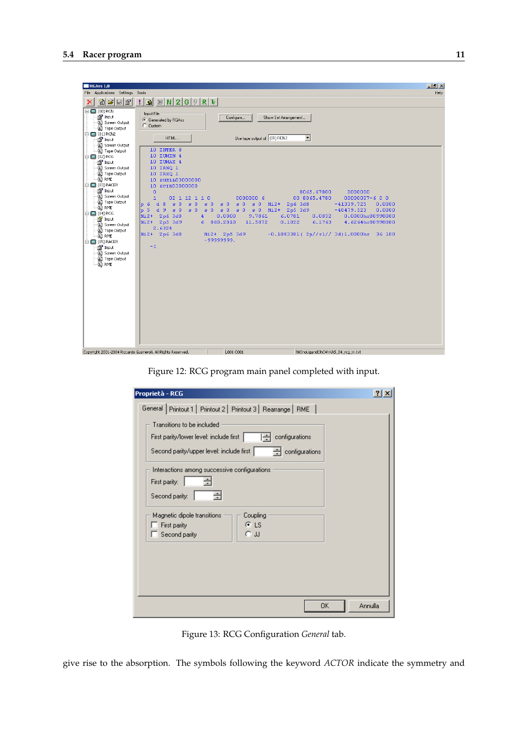

Figure 12: RCG program main panel completed with input.

| Proprietà - RCG                                                                                                                                         |  |
|---------------------------------------------------------------------------------------------------------------------------------------------------------|--|
| General Printout 1   Printout 2   Printout 3   Rearrange   RME                                                                                          |  |
| Transitions to be included<br>configurations<br>First parity/lower level: include first  <br>Second parity/upper level: include first<br>configurations |  |
| Interactions among successive configurations<br>÷<br>First parity:<br>÷<br>Second parity:                                                               |  |
| Magnetic dipole transitions<br>Coupling<br>ΘĿS<br>First parity<br>O JJ<br>Second parity                                                                 |  |
|                                                                                                                                                         |  |
| Annulla<br>0K                                                                                                                                           |  |

Figure 13: RCG Configuration *General* tab.

give rise to the absorption. The symbols following the keyword *ACTOR* indicate the symmetry and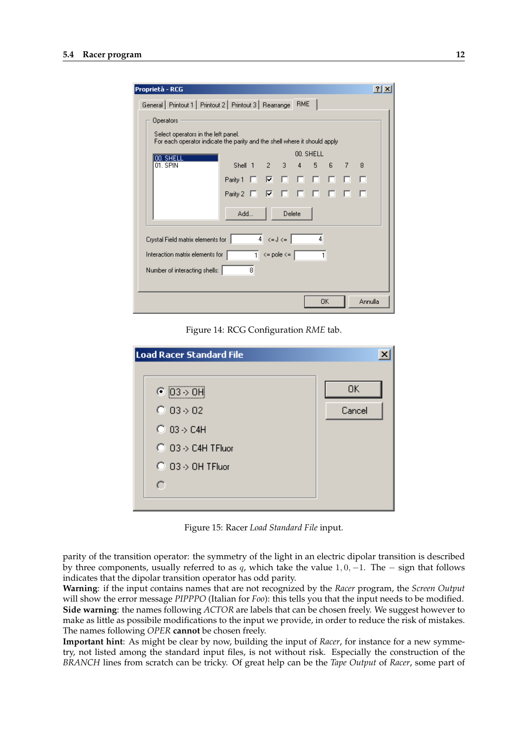| Proprietà - RCG                                                                                                  |                   |    |                |           |    |   |         |  |
|------------------------------------------------------------------------------------------------------------------|-------------------|----|----------------|-----------|----|---|---------|--|
| General   Printout 1   Printout 2   Printout 3   Rearrange                                                       |                   |    | <b>RME</b>     |           |    |   |         |  |
| Operators                                                                                                        |                   |    |                |           |    |   |         |  |
| Select operators in the left panel.<br>For each operator indicate the parity and the shell where it should apply |                   |    |                |           |    |   |         |  |
| 100. SHELL                                                                                                       |                   |    |                | 00. SHELL |    |   |         |  |
| 01. SPIN                                                                                                         | Shell $1 \t2 \t3$ |    | $\overline{4}$ | 5         | 6  | 7 | 8       |  |
|                                                                                                                  | п.<br>Parity 1    | ⊽⊹ | п.             | п п.      | п. |   | ⊓       |  |
|                                                                                                                  | Parity 2          | ⊽  |                | г         |    |   |         |  |
|                                                                                                                  | Add               |    | Delete         |           |    |   |         |  |
|                                                                                                                  |                   |    |                |           |    |   |         |  |
| $4 \le d \le \lceil$<br>4<br>Crystal Field matrix elements for                                                   |                   |    |                |           |    |   |         |  |
| $\overline{1}$ <= pole <= $\overline{1}$<br>Interaction matrix elements for<br>1                                 |                   |    |                |           |    |   |         |  |
| 8<br>Number of interacting shells:                                                                               |                   |    |                |           |    |   |         |  |
|                                                                                                                  |                   |    |                |           |    |   |         |  |
|                                                                                                                  |                   |    |                |           | 0K |   | Annulla |  |

Figure 14: RCG Configuration *RME* tab.

| <b>Load Racer Standard File</b>        |        |
|----------------------------------------|--------|
|                                        |        |
| $\odot$ 03 $\rightarrow$ 0H            | 0K     |
| $\bigcirc$ 03 $\rightarrow$ 02         | Cancel |
| $\bigcirc$ 03 $\rightarrow$ C4H        |        |
| $\bigcirc$ 03 $\rightarrow$ C4H TFluor |        |
| $\bigcirc$ 03 $\rightarrow$ 0H TFluor  |        |
| C                                      |        |
|                                        |        |

Figure 15: Racer *Load Standard File* input.

parity of the transition operator: the symmetry of the light in an electric dipolar transition is described by three components, usually referred to as  $q$ , which take the value 1, 0, −1. The − sign that follows indicates that the dipolar transition operator has odd parity.

**Warning**: if the input contains names that are not recognized by the *Racer* program, the *Screen Output* will show the error message *PIPPPO* (Italian for *Foo*): this tells you that the input needs to be modified. **Side warning**: the names following *ACTOR* are labels that can be chosen freely. We suggest however to make as little as possibile modifications to the input we provide, in order to reduce the risk of mistakes. The names following *OPER* **cannot** be chosen freely.

**Important hint**: As might be clear by now, building the input of *Racer*, for instance for a new symmetry, not listed among the standard input files, is not without risk. Especially the construction of the *BRANCH* lines from scratch can be tricky. Of great help can be the *Tape Output* of *Racer*, some part of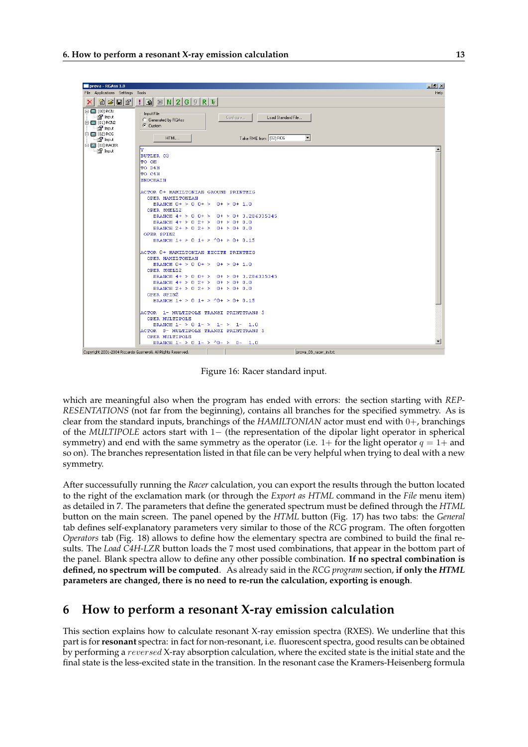

Figure 16: Racer standard input.

which are meaningful also when the program has ended with errors: the section starting with *REP-RESENTATIONS* (not far from the beginning), contains all branches for the specified symmetry. As is clear from the standard inputs, branchings of the *HAMILTONIAN* actor must end with 0+, branchings of the *MULTIPOLE* actors start with 1− (the representation of the dipolar light operator in spherical symmetry) and end with the same symmetry as the operator (i.e.  $1+$  for the light operator  $q = 1+$  and so on). The branches representation listed in that file can be very helpful when trying to deal with a new symmetry.

After successufully running the *Racer* calculation, you can export the results through the button located to the right of the exclamation mark (or through the *Export as HTML* command in the *File* menu item) as detailed in 7. The parameters that define the generated spectrum must be defined through the *HTML* button on the main screen. The panel opened by the *HTML* button (Fig. 17) has two tabs: the *General* tab defines self-explanatory parameters very similar to those of the *RCG* program. The often forgotten *Operators* tab (Fig. 18) allows to define how the elementary spectra are combined to build the final results. The *Load C4H-LZR* button loads the 7 most used combinations, that appear in the bottom part of the panel. Blank spectra allow to define any other possible combination. **If no spectral combination is defined, no spectrum will be computed**. As already said in the *RCG program* section, **if only the** *HTML* **parameters are changed, there is no need to re-run the calculation, exporting is enough**.

## **6 How to perform a resonant X-ray emission calculation**

This section explains how to calculate resonant X-ray emission spectra (RXES). We underline that this part is for**resonant** spectra: in fact for non-resonant, i.e. fluorescent spectra, good results can be obtained by performing a reversed X-ray absorption calculation, where the excited state is the initial state and the final state is the less-excited state in the transition. In the resonant case the Kramers-Heisenberg formula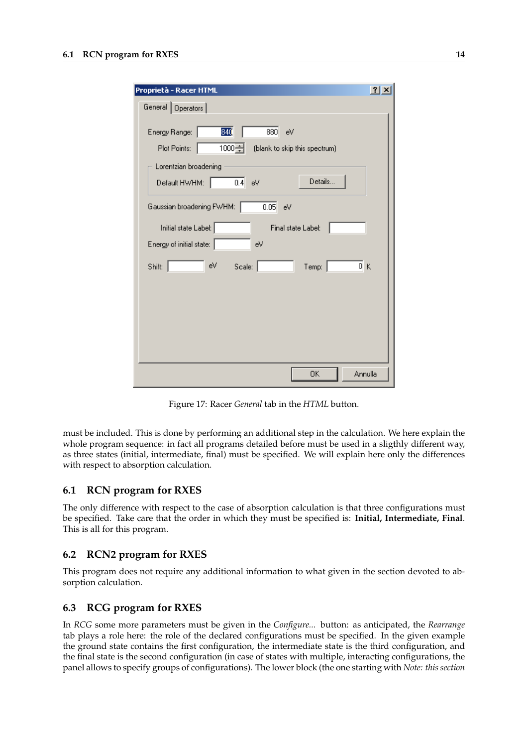| Proprietà - Racer HTML                                                                                                                                                                                                                                                                                                                 | $ ?  \times$ |
|----------------------------------------------------------------------------------------------------------------------------------------------------------------------------------------------------------------------------------------------------------------------------------------------------------------------------------------|--------------|
| General   Operators                                                                                                                                                                                                                                                                                                                    |              |
| 84Q<br>Energy Range:<br>880<br>eV<br>1000글<br>Plot Points:<br>(blank to skip this spectrum)<br>Lorentzian broadening<br>Details<br>$0.4$ eV<br>Default HWHM:<br>Gaussian broadening FWHM:<br>0.05<br>eV<br>Initial state Label:  <br>Final state Label:<br>Energy of initial state:<br>eV<br>0K<br>eV<br>Scale: $ $<br>Shift:<br>Temp: |              |
| 0K<br>Annulla                                                                                                                                                                                                                                                                                                                          |              |

Figure 17: Racer *General* tab in the *HTML* button.

must be included. This is done by performing an additional step in the calculation. We here explain the whole program sequence: in fact all programs detailed before must be used in a sligthly different way, as three states (initial, intermediate, final) must be specified. We will explain here only the differences with respect to absorption calculation.

#### **6.1 RCN program for RXES**

The only difference with respect to the case of absorption calculation is that three configurations must be specified. Take care that the order in which they must be specified is: **Initial, Intermediate, Final**. This is all for this program.

## **6.2 RCN2 program for RXES**

This program does not require any additional information to what given in the section devoted to absorption calculation.

#### **6.3 RCG program for RXES**

In *RCG* some more parameters must be given in the *Configure...* button: as anticipated, the *Rearrange* tab plays a role here: the role of the declared configurations must be specified. In the given example the ground state contains the first configuration, the intermediate state is the third configuration, and the final state is the second configuration (in case of states with multiple, interacting configurations, the panel allows to specify groups of configurations). The lower block (the one starting with *Note: this section*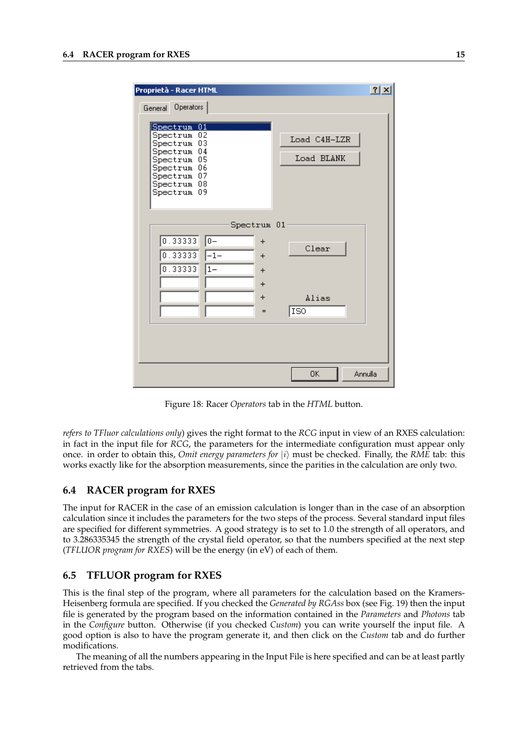| Proprietà - Racer HTML                                                                                                                       | ? X                        |
|----------------------------------------------------------------------------------------------------------------------------------------------|----------------------------|
| General Operators                                                                                                                            |                            |
| Spectrum 01<br>02<br>Spectrum<br>03<br>Spectrum<br>Spectrum 04<br>Spectrum 05<br>Spectrum 06<br>Spectrum 07<br>Spectrum 08<br>09<br>Spectrum | Load C4H-LZR<br>Load BLANK |
| Spectrum 01                                                                                                                                  |                            |
| 0.33333<br>$0-$<br>$\ddot{}$<br>0.33333<br>$-1-$<br>$+$<br>0.33333<br>$1 -$<br>$\ddot{}$<br>$\ddot{}$                                        | Clear                      |
| $+$<br>$=$                                                                                                                                   | Alias<br><b>ISO</b>        |
|                                                                                                                                              |                            |
|                                                                                                                                              | 0K<br>Annulla              |

Figure 18: Racer *Operators* tab in the *HTML* button.

*refers to TFluor calculations only*) gives the right format to the *RCG* input in view of an RXES calculation: in fact in the input file for *RCG*, the parameters for the intermediate configuration must appear only once. in order to obtain this, *Omit energy parameters for*  $|i\rangle$  must be checked. Finally, the *RME* tab: this works exactly like for the absorption measurements, since the parities in the calculation are only two.

#### **6.4 RACER program for RXES**

The input for RACER in the case of an emission calculation is longer than in the case of an absorption calculation since it includes the parameters for the two steps of the process. Several standard input files are specified for different symmetries. A good strategy is to set to 1.0 the strength of all operators, and to 3.286335345 the strength of the crystal field operator, so that the numbers specified at the next step (*TFLUOR program for RXES*) will be the energy (in eV) of each of them.

#### **6.5 TFLUOR program for RXES**

This is the final step of the program, where all parameters for the calculation based on the Kramers-Heisenberg formula are specified. If you checked the *Generated by RGAss* box (see Fig. 19) then the input file is generated by the program based on the information contained in the *Parameters* and *Photons* tab in the *Configure* button. Otherwise (if you checked *Custom*) you can write yourself the input file. A good option is also to have the program generate it, and then click on the *Custom* tab and do further modifications.

The meaning of all the numbers appearing in the Input File is here specified and can be at least partly retrieved from the tabs.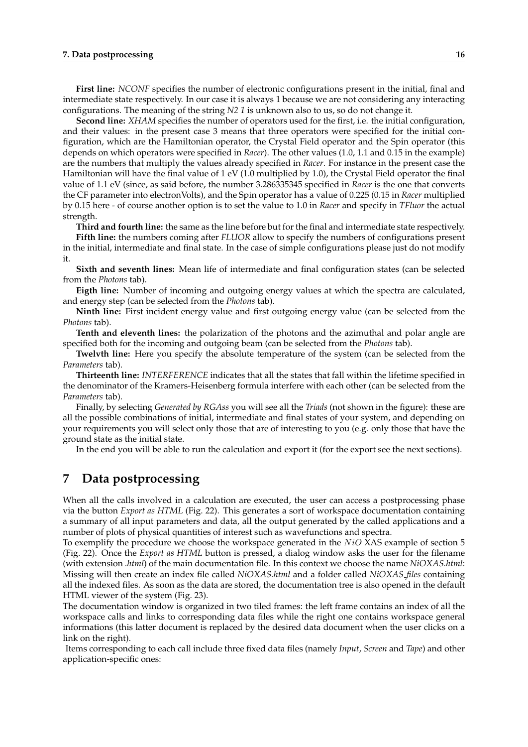**First line:** *NCONF* specifies the number of electronic configurations present in the initial, final and intermediate state respectively. In our case it is always 1 because we are not considering any interacting configurations. The meaning of the string *N2 1* is unknown also to us, so do not change it.

**Second line:** *XHAM* specifies the number of operators used for the first, i.e. the initial configuration, and their values: in the present case 3 means that three operators were specified for the initial configuration, which are the Hamiltonian operator, the Crystal Field operator and the Spin operator (this depends on which operators were specified in *Racer*). The other values (1.0, 1.1 and 0.15 in the example) are the numbers that multiply the values already specified in *Racer*. For instance in the present case the Hamiltonian will have the final value of 1 eV (1.0 multiplied by 1.0), the Crystal Field operator the final value of 1.1 eV (since, as said before, the number 3.286335345 specified in *Racer* is the one that converts the CF parameter into electronVolts), and the Spin operator has a value of 0.225 (0.15 in *Racer* multiplied by 0.15 here - of course another option is to set the value to 1.0 in *Racer* and specify in *TFluor* the actual strength.

**Third and fourth line:** the same as the line before but for the final and intermediate state respectively.

**Fifth line:** the numbers coming after *FLUOR* allow to specify the numbers of configurations present in the initial, intermediate and final state. In the case of simple configurations please just do not modify it.

**Sixth and seventh lines:** Mean life of intermediate and final configuration states (can be selected from the *Photons* tab).

**Eigth line:** Number of incoming and outgoing energy values at which the spectra are calculated, and energy step (can be selected from the *Photons* tab).

**Ninth line:** First incident energy value and first outgoing energy value (can be selected from the *Photons* tab).

**Tenth and eleventh lines:** the polarization of the photons and the azimuthal and polar angle are specified both for the incoming and outgoing beam (can be selected from the *Photons* tab).

**Twelvth line:** Here you specify the absolute temperature of the system (can be selected from the *Parameters* tab).

**Thirteenth line:** *INTERFERENCE* indicates that all the states that fall within the lifetime specified in the denominator of the Kramers-Heisenberg formula interfere with each other (can be selected from the *Parameters* tab).

Finally, by selecting *Generated by RGAss* you will see all the *Triads* (not shown in the figure): these are all the possible combinations of initial, intermediate and final states of your system, and depending on your requirements you will select only those that are of interesting to you (e.g. only those that have the ground state as the initial state.

In the end you will be able to run the calculation and export it (for the export see the next sections).

## **7 Data postprocessing**

When all the calls involved in a calculation are executed, the user can access a postprocessing phase via the button *Export as HTML* (Fig. 22). This generates a sort of workspace documentation containing a summary of all input parameters and data, all the output generated by the called applications and a number of plots of physical quantities of interest such as wavefunctions and spectra.

To exemplify the procedure we choose the workspace generated in the  $NiO$  XAS example of section 5 (Fig. 22). Once the *Export as HTML* button is pressed, a dialog window asks the user for the filename (with extension *.html*) of the main documentation file. In this context we choose the name *NiOXAS.html*: Missing will then create an index file called *NiOXAS.html* and a folder called *NiOXAS files* containing all the indexed files. As soon as the data are stored, the documentation tree is also opened in the default HTML viewer of the system (Fig. 23).

The documentation window is organized in two tiled frames: the left frame contains an index of all the workspace calls and links to corresponding data files while the right one contains workspace general informations (this latter document is replaced by the desired data document when the user clicks on a link on the right).

Items corresponding to each call include three fixed data files (namely *Input*, *Screen* and *Tape*) and other application-specific ones: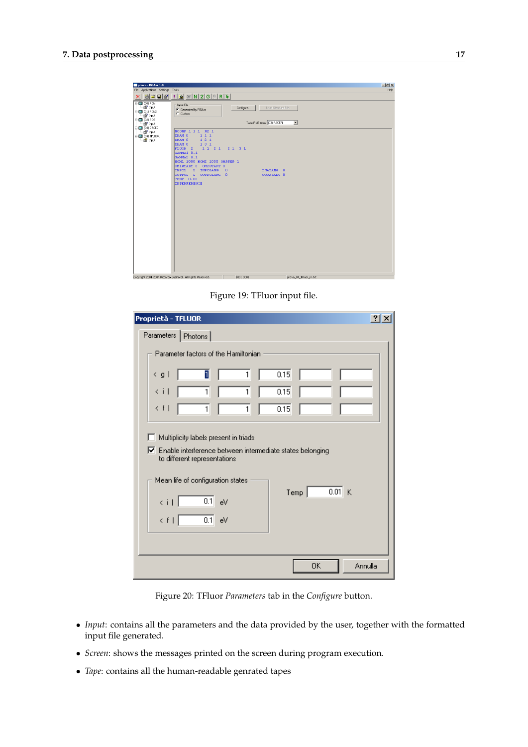| prova - RGAss 1.0                                                                      |                                                          |           |                                            | $-12x$ |  |  |  |  |
|----------------------------------------------------------------------------------------|----------------------------------------------------------|-----------|--------------------------------------------|--------|--|--|--|--|
| File Applications Settings Tools<br>Help                                               |                                                          |           |                                            |        |  |  |  |  |
| $\frac{1}{2}$<br>2000                                                                  |                                                          |           |                                            |        |  |  |  |  |
| $\boxminus$ (00) RCN<br>for the time<br>$\equiv$ $\Box$ (01) RCN2<br><b>Part</b> Input | - Input File<br>G Generated by RGAss<br>C Custom         | Configure | Load Standard File.                        |        |  |  |  |  |
| $\bigoplus$ (02) RCG<br><b>Format</b> Input                                            |                                                          |           | Take RME from (03) RACER<br>$\blacksquare$ |        |  |  |  |  |
| <b>E- (3)</b> (03) RACER<br>for Input                                                  | NCONF 1 1 1 1 2 1                                        |           |                                            |        |  |  |  |  |
| $\equiv$ (04) TFLUOR                                                                   | XHAM <sub>0</sub><br>111<br>121<br>XHAM O                |           |                                            |        |  |  |  |  |
| <b>Part</b> Input                                                                      | XHAM 0<br>131                                            |           |                                            |        |  |  |  |  |
|                                                                                        | 11212131<br>FLUOR <sub>2</sub><br>GAMMA1 0.1             |           |                                            |        |  |  |  |  |
|                                                                                        | GAMMA2 0.1                                               |           |                                            |        |  |  |  |  |
|                                                                                        | NOM1 1000 NOM2 1000 OMSTEP 1<br>OM1START 0<br>OM2START 0 |           |                                            |        |  |  |  |  |
|                                                                                        | INPOL<br>L INPOLANG<br>$\overline{\phantom{a}}$          |           | INAZANG 0                                  |        |  |  |  |  |
|                                                                                        | OUTPOL L OUTPOLANG 0<br><b>TEMP 0.00</b>                 |           | OUTAZANG 0                                 |        |  |  |  |  |
|                                                                                        | <b>INTERFERENCE</b>                                      |           |                                            |        |  |  |  |  |
|                                                                                        |                                                          |           |                                            |        |  |  |  |  |
|                                                                                        |                                                          |           |                                            |        |  |  |  |  |
|                                                                                        |                                                          |           |                                            |        |  |  |  |  |
|                                                                                        |                                                          |           |                                            |        |  |  |  |  |
|                                                                                        |                                                          |           |                                            |        |  |  |  |  |
|                                                                                        |                                                          |           |                                            |        |  |  |  |  |
|                                                                                        |                                                          |           |                                            |        |  |  |  |  |
|                                                                                        |                                                          |           |                                            |        |  |  |  |  |
|                                                                                        |                                                          |           |                                            |        |  |  |  |  |
|                                                                                        |                                                          |           |                                            |        |  |  |  |  |
|                                                                                        |                                                          |           |                                            |        |  |  |  |  |
|                                                                                        |                                                          |           |                                            |        |  |  |  |  |
| Copyright 2001-2004 Riccardo Gusmeroli. All Rights Reserved.                           |                                                          | L001 C001 | prova_04_TFluor_in.txt                     |        |  |  |  |  |

Figure 19: TFluor input file.

| Proprietà - TFLUOR<br>21x                                                                   |  |  |  |  |  |
|---------------------------------------------------------------------------------------------|--|--|--|--|--|
| Parameters   Photons                                                                        |  |  |  |  |  |
| Parameter factors of the Hamiltonian                                                        |  |  |  |  |  |
| П<br>0.15<br>< g∣<br>1                                                                      |  |  |  |  |  |
| $\langle i $<br>1<br>$\mathbf{1}$<br>0.15                                                   |  |  |  |  |  |
| k fil<br>$\mathbf{1}$<br>1<br>0.15                                                          |  |  |  |  |  |
|                                                                                             |  |  |  |  |  |
| Multiplicity labels present in triads                                                       |  |  |  |  |  |
| Ⅳ Enable interference between intermediate states belonging<br>to different representations |  |  |  |  |  |
| Mean life of configuration states                                                           |  |  |  |  |  |
| 0.01K<br>Term<br>$0.1 - eV$<br>$\langle i $                                                 |  |  |  |  |  |
| $0.1 - eV$<br>< f∣                                                                          |  |  |  |  |  |
|                                                                                             |  |  |  |  |  |
| Annulla<br>0K                                                                               |  |  |  |  |  |

Figure 20: TFluor *Parameters* tab in the *Configure* button.

- *Input*: contains all the parameters and the data provided by the user, together with the formatted input file generated.
- *Screen*: shows the messages printed on the screen during program execution.
- *Tape*: contains all the human-readable genrated tapes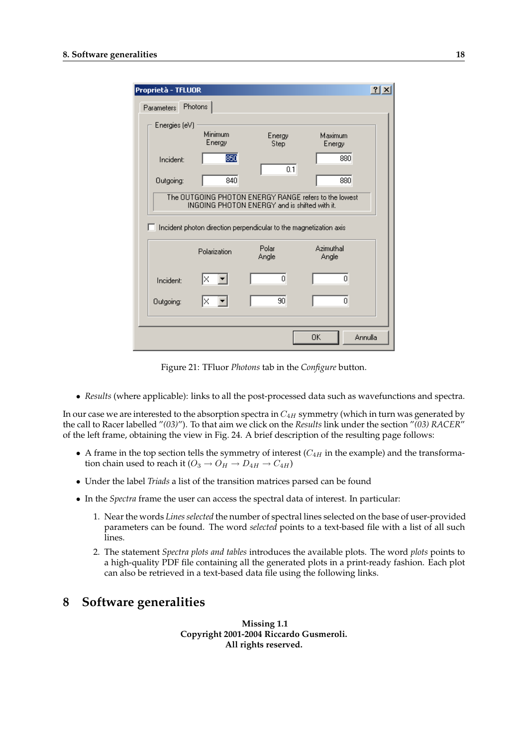| Proprietà - TFLUOR                                                |                                                                                                        |                |                    | $ ?  \times$ |  |  |  |
|-------------------------------------------------------------------|--------------------------------------------------------------------------------------------------------|----------------|--------------------|--------------|--|--|--|
| <b>Parameters</b>                                                 | <b>Photons</b>                                                                                         |                |                    |              |  |  |  |
| Energies (eV)                                                     |                                                                                                        |                |                    |              |  |  |  |
|                                                                   | Minimum<br>Energy                                                                                      | Energy<br>Step | Maximum<br>Energy  |              |  |  |  |
| Incident:                                                         | 850                                                                                                    | 0.1            | 880                |              |  |  |  |
| Outgoing:                                                         | 840                                                                                                    |                | 880                |              |  |  |  |
|                                                                   | The OUTGOING PHOTON ENERGY RANGE refers to the lowest<br>INGOING PHOTON ENERGY and is shifted with it. |                |                    |              |  |  |  |
| Incident photon direction perpendicular to the magnetization axis |                                                                                                        |                |                    |              |  |  |  |
|                                                                   | Polarization                                                                                           | Polar<br>Angle | Azimuthal<br>Angle |              |  |  |  |
| Incident:                                                         | ΙX                                                                                                     | ۵              | Ο                  |              |  |  |  |
| Outgoing:                                                         |                                                                                                        | 90             | 0                  |              |  |  |  |
|                                                                   |                                                                                                        |                | OΚ                 | Annulla      |  |  |  |

Figure 21: TFluor *Photons* tab in the *Configure* button.

• *Results* (where applicable): links to all the post-processed data such as wavefunctions and spectra.

In our case we are interested to the absorption spectra in  $C_{4H}$  symmetry (which in turn was generated by the call to Racer labelled "*(03)*"). To that aim we click on the *Results* link under the section "*(03) RACER*" of the left frame, obtaining the view in Fig. 24. A brief description of the resulting page follows:

- A frame in the top section tells the symmetry of interest  $(C_{4H}$  in the example) and the transformation chain used to reach it  $(O_3 \rightarrow O_H \rightarrow D_{4H} \rightarrow C_{4H})$
- Under the label *Triads* a list of the transition matrices parsed can be found
- In the *Spectra* frame the user can access the spectral data of interest. In particular:
	- 1. Near the words *Lines selected* the number of spectral lines selected on the base of user-provided parameters can be found. The word *selected* points to a text-based file with a list of all such lines.
	- 2. The statement *Spectra plots and tables* introduces the available plots. The word *plots* points to a high-quality PDF file containing all the generated plots in a print-ready fashion. Each plot can also be retrieved in a text-based data file using the following links.

## **8 Software generalities**

**Missing 1.1 Copyright 2001-2004 Riccardo Gusmeroli. All rights reserved.**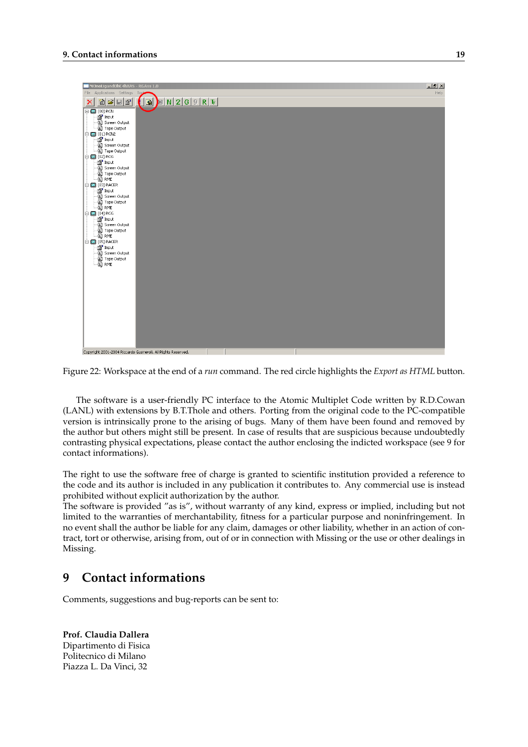

Figure 22: Workspace at the end of a *run* command. The red circle highlights the *Export as HTML* button.

The software is a user-friendly PC interface to the Atomic Multiplet Code written by R.D.Cowan (LANL) with extensions by B.T.Thole and others. Porting from the original code to the PC-compatible version is intrinsically prone to the arising of bugs. Many of them have been found and removed by the author but others might still be present. In case of results that are suspicious because undoubtedly contrasting physical expectations, please contact the author enclosing the indicted workspace (see 9 for contact informations).

The right to use the software free of charge is granted to scientific institution provided a reference to the code and its author is included in any publication it contributes to. Any commercial use is instead prohibited without explicit authorization by the author.

The software is provided "as is", without warranty of any kind, express or implied, including but not limited to the warranties of merchantability, fitness for a particular purpose and noninfringement. In no event shall the author be liable for any claim, damages or other liability, whether in an action of contract, tort or otherwise, arising from, out of or in connection with Missing or the use or other dealings in Missing.

## **9 Contact informations**

Comments, suggestions and bug-reports can be sent to:

**Prof. Claudia Dallera** Dipartimento di Fisica Politecnico di Milano Piazza L. Da Vinci, 32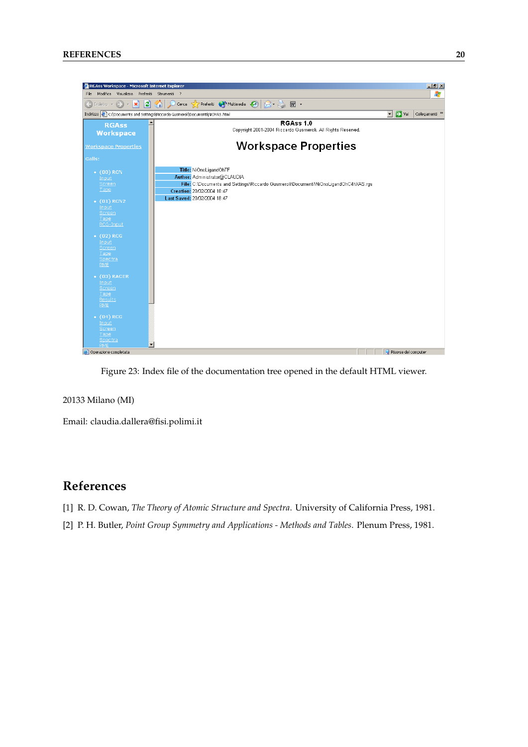

Figure 23: Index file of the documentation tree opened in the default HTML viewer.

#### 20133 Milano (MI)

Email: claudia.dallera@fisi.polimi.it

## **References**

- [1] R. D. Cowan, *The Theory of Atomic Structure and Spectra*. University of California Press, 1981.
- [2] P. H. Butler, *Point Group Symmetry and Applications Methods and Tables*. Plenum Press, 1981.